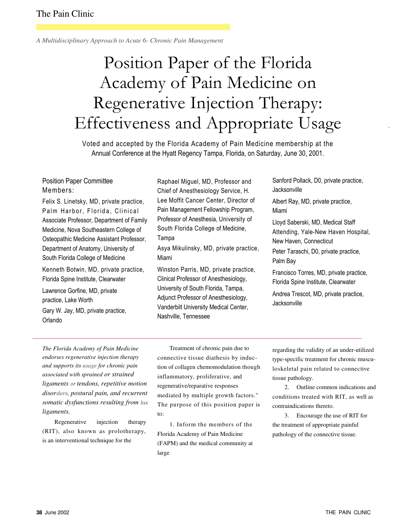*A Multidisciplinary Approach to Acute 6- Chronic Pain Management* 

# Position Paper of the Florida Academy of Pain Medicine on Regenerative Injection Therapy: Effectiveness and Appropriate Usage

Voted and accepted by the Florida Academy of Pain Medicine membership at the Annual Conference at the Hyatt Regency Tampa, Florida, on Saturday, June 30, 2001.

## Position Paper Committee Members:

Felix S. Linetsky, MD, private practice, Palm Harbor, Florida, Clinical Associate Professor, Department of Family Medicine, Nova Southeastern College of Osteopathic Medicine Assistant Professor, Department of Anatomy, University of South Florida College of Medicine

Kenneth Botwin, MD, private practice, Florida Spine Institute, Clearwater

Lawrence Gorfine, MD, private practice, Lake Worth Gary W. Jay, MD, private practice, Orlando

Raphael Miguel, MD, Professor and Chief of Anesthesiology Service, H. Lee Moffit Cancer Center, Director of Pain Management Fellowship Program, Professor of Anesthesia, University of South Florida College of Medicine, Tampa

Asya Mikulinsky, MD, private practice, Miami

Winston Parris, MD, private practice, Clinical Professor of Anesthesiology, University of South Florida, Tampa, Adjunct Professor of Anesthesiology, Vanderbilt University Medical Center, Nashville, Tennessee

Sanford Pollack, D0, private practice, **Jacksonville** 

.

Albert Ray, MD, private practice, Miami

Lloyd Saberski, MD, Medical Staff Attending, Yale-New Haven Hospital, New Haven, Connecticut Peter Taraschi, D0, private practice, Palm Bay

Francisco Torres, MD, private practice, Florida Spine Institute, Clearwater

Andrea Trescot, MD, private practice, **Jacksonville** 

*The Florida Academy of Pain Medicine endorses regenerative injection therapy and supports its usage for chronic pain associated with sprained or strained ligaments* or *tendons, repetitive motion disor*ders, *postural pain, and recurrent somatic dysfunctions resulting from* lax *ligaments.* 

Regenerative injection therapy (RIT), also known as prolotherapy, is an interventional technique for the

Treatment of chronic pain due to connective tissue diathesis by induction of collagen chemomodulation though inflammatory, proliferative, and regenerative/reparative responses mediated by multiple growth factors." The purpose of this position paper is to:

1. Inform the members of the Florida Academy of Pain Medicine (FAPM) and the medical community at large

regarding the validity of an under-utilized type-specific treatment for chronic musculoskeletal pain related to connective tissue pathology.

2. Outline common indications and conditions treated with RIT, as well as contraindications thereto.

3. Encourage the use of RIT for the treatment of appropriate painful pathology of the connective tissue.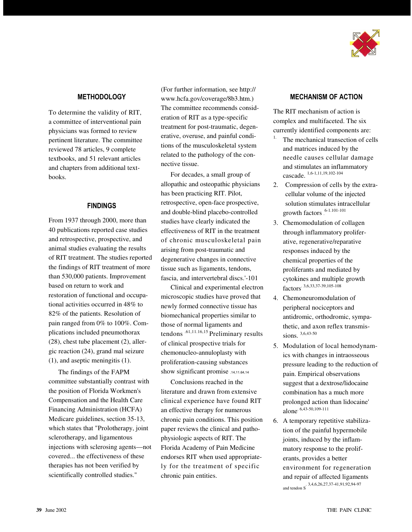

## **METHODOLOGY**

To determine the validity of RIT, a committee of interventional pain physicians was formed to review pertinent literature. The committee reviewed 78 articles, 9 complete textbooks, and 51 relevant articles and chapters from additional textbooks.

## FINDINGS

From 1937 through 2000, more than 40 publications reported case studies and retrospective, prospective, and animal studies evaluating the results of RIT treatment. The studies reported the findings of RIT treatment of more than 530,000 patients. Improvement based on return to work and restoration of functional and occupational activities occurred in 48% to 82% of the patients. Resolution of pain ranged from 0% to 100%. Complications included pneumothorax (28), chest tube placement (2), allergic reaction (24), grand mal seizure (1), and aseptic meningitis (1).

The findings of the FAPM committee substantially contrast with the position of Florida Workmen's Compensation and the Health Care Financing Administration (HCFA) Medicare guidelines, section 35-13, which states that "Prolotherapy, joint sclerotherapy, and ligamentous injections with sclerosing agents—not covered... the effectiveness of these therapies has not been verified by scientifically controlled studies."

(For further information, see http:// www.hcfa.gov/coverage/8b3.htm.) The committee recommends consideration of RIT as a type-specific treatment for post-traumatic, degenerative, overuse, and painful conditions of the musculoskeletal system related to the pathology of the connective tissue.

For decades, a small group of allopathic and osteopathic physicians has been practicing RIT. Pilot, retrospective, open-face prospective, and double-blind placebo-controlled studies have clearly indicated the effectiveness of RIT in the treatment of chronic musculoskeletal pain arising from post-traumatic and degenerative changes in connective tissue such as ligaments, tendons, fascia, and intervertebral discs.'-101

Clinical and experimental electron microscopic studies have proved that newly formed connective tissue has biomechanical properties similar to those of normal ligaments and tendons .61,11.16,15 Preliminary results of clinical prospective trials for chemonucleo-annuloplasty with proliferation-causing substances show significant promise .14,11.64,14

Conclusions reached in the literature and drawn from extensive clinical experience have found RIT an effective therapy for numerous chronic pain conditions. This position paper reviews the clinical and pathophysiologic aspects of RIT. The Florida Academy of Pain Medicine endorses RIT when used appropriately for the treatment of specific chronic pain entities.

## MECHANISM OF ACTION

The RIT mechanism of action is complex and multifaceted. The six currently identified components are:

- The mechanical transection of cells and matrices induced by the needle causes cellular damage and stimulates an inflammatory cascade. 1,6-1,11,19,102-104
- 2. Compression of cells by the extracellular volume of the injected solution stimulates intracellular growth factors . 6-1.101-101
- 3. Chemomodulation of collagen through inflammatory proliferative, regenerative/reparative responses induced by the chemical properties of the proliferants and mediated by cytokines and multiple growth factors. 3,6,33,37-39,105-108
- 4. Chemoneuromodulation of peripheral nociceptors and antidromic, orthodromic, sympathetic, and axon reflex transmissions.  $3,6,43-50$
- 5. Modulation of local hemodynamics with changes in intraosseous pressure leading to the reduction of pain. Empirical observations suggest that a dextrose/lidocaine combination has a much more prolonged action than lidocaine' alone. 6,43-50,109-111
- 6. A temporary repetitive stabilization of the painful hypermobile joints, induced by the inflammatory response to the proliferants, provides a better environment for regeneration and repair of affected ligaments and tendon S . 3,4,6,26,27,37-41,91,92,94-97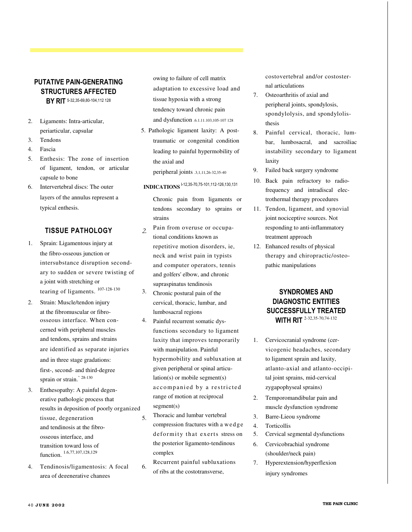## PUTATIVE PAIN-GENERATING STRUCTURES AFFECTED

BY RIT 5-32,35-69,80-104,112 128

- 2. Ligaments: Intra-articular, periarticular, capsular
- 3. Tendons
- 4. Fascia
- 5. Enthesis: The zone of insertion of ligament, tendon, or articular capsule to bone
- 6. Intervertebral discs: The outer layers of the annulus represent a typical enthesis.

## TISSUE PATHOLOGY 2.

- 1. Sprain: Ligamentous injury at the fibro-osseous junction or intersubstance disruption secondary to sudden or severe twisting of a joint with stretching or tearing of ligaments.  $107-128-130$  3.
- 2. Strain: Muscle/tendon injury at the fibromuscular or fibroosseous interface. When con- 4. cerned with peripheral muscles and tendons, sprains and strains are identified as separate injuries and in three stage gradations: first-, second- and third-degree sprain or strain." <sup>28-130</sup>
- 3. Enthesopathy: A painful degenerative pathologic process that results in deposition of poorly organized tissue, degeneration 5. and tendinosis at the fibroosseous interface, and transition toward loss of function. 1.6,77,107,128,129
- 4. Tendinosis/ligamentosis: A focal 6. area of degenerative changes

owing to failure of cell matrix adaptation to excessive load and tissue hypoxia with a strong tendency toward chronic pain and dysfunction .6.1.11.103,105-107 128

5. Pathologic ligament laxity: A posttraumatic or congenital condition leading to painful hypermobility of the axial and

peripheral joints .3,1,11,26-32,35-40

## **INDICATIONS** <sup>1-12,35-70,75-101,112-126,130,131</sup>

Chronic pain from ligaments or tendons secondary to sprains or strains

- Pain from overuse or occupational conditions known as repetitive motion disorders, ie, neck and wrist pain in typists and computer operators, tennis and golfers' elbow, and chronic supraspinatus tendinosis
- Chronic postural pain of the cervical, thoracic, lumbar, and lumbosacral regions
- Painful recurrent somatic dysfunctions secondary to ligament laxity that improves temporarily with manipulation. Painful hypermobility and subluxation at given peripheral or spinal articulation(s) or mobile segment(s) accompanied by a restricted range of motion at reciprocal segment(s)
	- Thoracic and lumbar vertebral compression fractures with a we d ge deformity that exerts stress on the posterior ligamento-tendinous complex

Recurrent painful subluxations of ribs at the costotransverse,

costovertebral and/or costosternal articulations

- 7. Osteoarthritis of axial and peripheral joints, spondylosis, spondylolysis, and spondylolisthesis
- 8. Painful cervical, thoracic, lumbar, lumbosacral, and sacroiliac instability secondary to ligament laxity
- 9. Failed back surgery syndrome
- 10. Back pain refractory to radiofrequency and intradiscal electrothermal therapy procedures
- 11. Tendon, ligament, and synovial joint nociceptive sources. Not responding to anti-inflammatory treatment approach
- 12. Enhanced results of physical therapy and chiropractic/osteopathic manipulations

## SYNDROMES AND DIAGNOSTIC ENTITIES SUCCESSFULLY TREATED WITH RIT 2-32,35-70,74-132

- 1. Cervicocranial syndrome (cervicogenic headaches, secondary to ligament sprain and laxity, atlanto-axial and atlanto-occipital joint sprains, mid-cervical zygapophyseal sprains)
- 2. Temporomandibular pain and muscle dysfunction syndrome
- 3. Barre-Lieou syndrome
- 4. Torticollis
- 5. Cervical segmental dysfunctions
- 6. Cervicobrachial syndrome (shoulder/neck pain)
- 7. Hyperextension/hyperflexion injury syndromes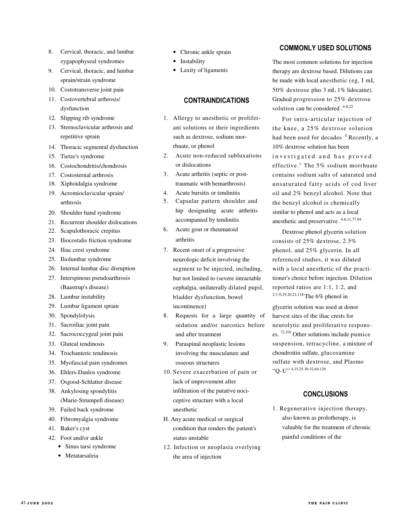- 8. Cervical, thoracic, and lumbar zygapophyseal syndromes
- 9. Cervical, thoracic, and lumbar sprain/strain syndrome
- 10. Costotransverse joint pain
- 11. Costovertebral arthrosis/ dysfunction
- 12. Slipping rib syndrome
- 13. Sternoclavicular arthrosis and repetitive sprain
- 14. Thoracic segmental dysfunction
- 15. Tietze's syndrome
- 16. Costochondritis/chondrosis
- 17. Costosternal arthrosis
- 18. Xiphoidalgia syndrome
- 19. Acromioclavicular sprain/ arthrosis
- 20. Shoulder hand syndrome
- 21. Recurrent shoulder dislocations
- 22. Scapulothoracic crepitus
- 23. Iliocostalis friction syndrome
- 24. Iliac crest syndrome
- 25. Iliolumbar syndrome
- 26. Internal lumbar disc disruption
- 27. Interspinous pseudoarthrosis (Baastrup's disease)
- 28. Lumbar instability
- 29. Lumbar ligament sprain
- 30. Spondylolysis
- 31. Sacroiliac joint pain
- 32. Sacrococcygeal joint pain
- 33. Gluteal tendinosis
- 34. Trochanteric tendinosis
- 35. Myofascial pain syndromes
- 36. Ehlers-Danlos syndrome
- 37. Osgood-Schlatter disease
- 38. Ankylosing spondylitis
- (Marie-Strumpell disease)
- 39. Failed back syndrome
- 40. Fibromyalgia syndrome
- 41. Baker's cyst
- 42. Foot and/or ankle
	- Sinus tarsi syndrome
	- Metatarsalgia
- Chronic ankle sprain
- Instability
- Laxity of ligaments

## CONTRAINDICATIONS

- 1. Allergy to anesthetic or proliferant solutions or their ingredients such as dextrose, sodium morrhuate, or phenol
- 2. Acute non-reduced subluxations or dislocations
- 3. Acute arthritis (septic or posttraumatic with hemarthrosis)
- 4. Acute bursitis or tendinitis
- 5. Capsular pattern shoulder and hip designating acute arthritis accompanied by tendinitis
- 6. Acute gout or rheumatoid arthritis
- 7. Recent onset of a progressive neurologic deficit involving the segment to be injected, including, but not limited to (severe intractable cephalgia, unilaterally dilated pupil, bladder dysfunction, bowel incontinence)
- 8. Requests for a large quantity of sedation and/or narcotics before and after treatment
- 9. Paraspinal neoplastic lesions involving the musculature and osseous structures
- 10. Severe exacerbation of pain or lack of improvement after infiltration of the putative nociceptive structure with a local anesthetic
- H. Any acute medical or surgical condition that renders the patient's status unstable
- 12. Infection or neoplasia overlying the area of injection

### COMMONLY USED SOLUTIONS

The most common solutions for injection therapy are dextrose based. Dilutions can be made with local anesthetic (eg, I mL 50% dextrose plus 3 mL 1% lidocaine). Gradual progression to 25% dextrose solution can be considered .<sup>4-8,22</sup>

For intra-articular injection of the knee, a 25% dextrose solution had been used for decades  $^{4}$  Recently, a 10% dextrose solution has been investigated and has proved effective." The 5% sodium morrhuate contains sodium salts of saturated and unsaturated fatty acids of cod liver oil and 2% benzyl alcohol. Note that the benzyl alcohol is chemically similar to phenol and acts as a local anesthetic and preservative .4,6,11,77,94

Dextrose phenol glycerin solution consists of 25% dextrose, 2.5% phenol, and 25% glycerin. In all referenced studies, it was diluted with a local anesthetic of the practitioner's choice before injection. Dilution reported ratios are 1:1, 1:2, and 2:3.'0,19,20,21,118 The 6% phenol in

glycerin solution was used at donor harvest sites of the iliac crests for neurolytic and proliferative responses. 72,101 Other solutions include pumice suspension, tetracycline, a mixture of chondroitin sulfate, glucosamine sulfate with dextrose, and Plasmo "Q-U". 4,15,25.30-32,64.126

## **CONCLUSIONS**

1. Regenerative injection therapy, also known as prolotherapy, is valuable for the treatment of chronic painful conditions of the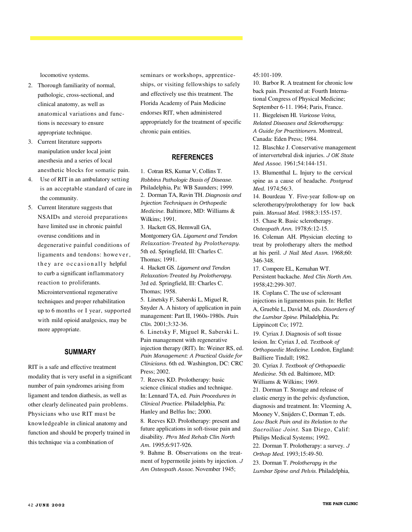locomotive systems.

- 2. Thorough familiarity of normal, pathologic, cross-sectional, and clinical anatomy, as well as anatomical variations and functions is necessary to ensure appropriate technique.
- 3. Current literature supports manipulation under local joint anesthesia and a series of local anesthetic blocks for somatic pain.
- 4. Use of RIT in an ambulatory setting is an acceptable standard of care in the community.
- 5. Current literature suggests that NSAIDs and steroid preparations have limited use in chronic painful overuse conditions and in degenerative painful conditions of ligaments and tendons: however, they are occasionally helpful to curb a significant inflammatory reaction to proliferants.

Microinterventional regenerative techniques and proper rehabilitation up to 6 months or I year, supported with mild opioid analgesics, may be more appropriate.

## SUMMARY

RIT is a safe and effective treatment modality that is very useful in a significant number of pain syndromes arising from ligament and tendon diathesis, as well as other clearly delineated pain problems. Physicians who use RIT must be knowledgeable in clinical anatomy and function and should be properly trained in this technique via a combination of

seminars or workshops, apprenticeships, or visiting fellowships to safely and effectively use this treatment. The Florida Academy of Pain Medicine endorses RIT, when administered appropriately for the treatment of specific chronic pain entities.

**A Multidisciplinary Approach to Acute & Chronic Pain Management**

#### **REFERENCES**

1. Cotran RS, Kumar V, Collins T. Robbins Pathologic Basis *of* Disease. Philadelphia, Pa: WB Saunders; 1999. 2. Dorman TA, Ravin TH. Diagnosis and Injection Techniques in Orthopedic Medicine. Baltimore, MD: Williams & Wilkins; 1991.

3. Hackett GS, Hemwall GA, Montgomery GA. Ligament and Tendon Relaxation-Treated by Prolotherapy. 5th ed. Springfield, Ill: Charles C. Thomas; 1991.

4. Hackett GS. Ligament and Tendon Relaxation-Treated by Prolotherapy. 3rd ed. Springfield, Ill: Charles C. Thomas; 1958.

5. Linetsky F, Saberski L, Miguel R, Snyder A. A history of application in pain management: Part II, 1960s-1980s. Pain Clin. 2001;3:32-36.

6. Linetsky F, Miguel R, Saberski L. Pain management with regenerative injection therapy (RIT). In: Weiner RS, ed. Pain Management: A Practical Guide for Clinicians. 6th ed. Washington, DC: CRC Press; 2002.

7. Reeves KD. Prolotherapy: basic science clinical studies and technique. In: Lennard TA, ed. Pain Procedures in Clinical Practice. Philadelphia, Pa: Hanley and Belfus Inc; 2000.

8. Reeves KD. Prolotherapy: present and future applications in soft-tissue pain and disability. Phys Med Rehab Clin North Am. 1995;6:917-926.

9. Bahme B. Observations on the treatment of hypermotile joints by injection. J Am Osteopath Assoc. November 1945;

45:101-109.

10. Barbor R. A treatment for chronic low back pain. Presented at: Fourth International Congress of Physical Medicine; September 6-11. 1964; Paris, France.

11. Biegeleisen Hl. Varicose Veins, Related Diseases and Sclerotherapy: A Guide for Practitioners. Montreal, Canada: Eden Press; 1984.

12. Blaschke J. Conservative management of intervertebral disk injuries. J OK State Med Assoc. 1961;54:144-151.

13. Blumenthal L. Injury to the cervical spine as a cause of headache. Postgrad Med. 1974;56:3.

14. Bourdeau Y. Five-year follow-up on sclerotherapy/prolotherapy for low back pain. Manual Med. 1988;3:155-157.

15. Chase R. Basic sclerotherapy.

Osteopath Ann. 1978;6:12-15.

16. Coleman AH. Physician electing to treat by prolotherapy alters the method at his peril. J Nail Med Assn. 1968;60: 346-348.

17. Compere EL, Kernahan WT. Persistent backache. Med Clin North Am. 1958;42:299-307.

18. Coplans C. The use of sclerosant injections in ligamentous pain. In: Heflet A, Grueble L, David M, eds. Disorders *of*  the Lumbar Spine. Philadelphia, Pa: Lippincott Co; 1972.

19. Cyriax J. Diagnosis of soft tissue lesion. In: Cyriax J, ed. Textbook of Orthopaedic Medicine. London, England: Bailliere Tindall; 1982.

20. Cyriax J. Textbook of Orthopaedic Medicine. 5th ed. Baltimore, MD: Williams & Wilkins; 1969.

21. Dorman T. Storage and release of elastic energy in the pelvis: dysfunction, diagnosis and treatment. In: Vleeming A, Mooney V, Snijders C, Dorman T, eds. Low Back Pain and its Relation to the Sacroiliac Joint. San Diego, Calif: Philips Medical Systems; 1992.

22. Dorman T. Prolotherapy: a survey. J Orthop Med. 1993;15:49-50.

23. Dorman T. Prolotherapy in the Lumbar Spine and Pelvis. Philadelphia,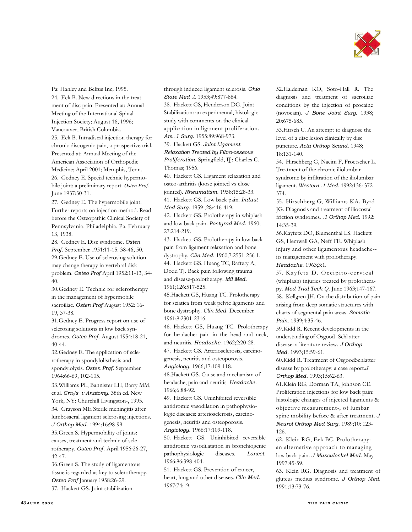

Pa: Hanley and Belfus Inc; 1995. 24. Eck B. New directions in the treatment of disc pain. Presented at: Annual Meeting of the International Spinal Injection Society; August 16, 1996; Vancouver, British Columbia. 25. Eek B. Intradiscal injection therapy for chronic discogenic pain, a prospective trial. Presented at: Annual Meeting of the American Association of Orthopedic Medicine; April 2001; Memphis, Tenn. 26. Gedney E. Special technic hypermobile joint: a preliminary report. *Osten Prof.*  June 1937:30-31.

27. Gedney E. The hypermobile joint. Further reports on injection method. Read before the Osteopathic Clinical Society of Pennsylvania, Philadelphia. Pa. February 13, 1938.

28. Gedney E. Disc syndrome. Osten Prof. September 1951:11-15. 38-46, 50. 29.Gedney E. Use of sclerosing solution may change therapy in vertebral disk problem. Osteo Prof April 1952:11-13, 34- 40.

30.Gedney E. Technic for sclerotherapy in the management of hypermobile sacroiliac. Osten Prof August 1952: 16- 19, 37-38.

31.Gedney E. Progress report on use of sclerosing solutions in low back syndromes. Osteo Prof. August 1954:18-21, 40-44.

32.Gedney E. The application of sclerotherapy in spondylolisthesis and spondylolysis. Osten Prqf. September 1964:66-69, 102-105.

33.Williams PL, Bannister LH, Barry MM, et al. Gray's v Anatomy. 38th ed. New York, NY: Churchill Livingston-, 1995. 34. Grayson ME Sterile meningitis after lumbosacral ligament sclerosing injections. J Orthop Med. 1994;16:98-99.

35.Green S. Hypermobility of joints: causes, treatment and technic of sclerotherapy. Osteo Prof. April 1956:26-27, 42-47.

36.Green S. The study of ligamentous tissue is regarded as key to sclerotherapy. Osteo Prof January 1958:26-29. 37. Hackett GS. Joint stabilization

through induced ligament sclerosis. Ohio State Med .l. 1953;49:877-884. 38. Hackett GS, Henderson DG. Joint

Stabilization: an experimental, histologic study with comments on the clinical application in ligament proliferation. Am .1 Surg. 1955:89:968-973.

39. Hackett GS. Joint Ligament Relaxation Treated by Fibro-osseous Proliferation. Springfield, I]]: Charles C. Thomas; 1956.

40. Hackett GS. Ligament relaxation and osteo-arthritis (loose jointed vs close jointed). Rheumatism. 1958;15:28-33. 41. Hackett GS. Low back pain. Indust Med Surg. 1959-,28:416-419.

42. Hackett GS. Prolotherapy in whiplash and low back pain. Postgrad Med. 1960; 27:214-219.

43. Hackett GS. Prolotherapy in low back pain from ligament relaxation and bone dystrophy. Clin Med. 1960;7:2551-256 1. 44. Hackett GS, Huang TC, Raftery A, Dodd TJ. Back pain following trauma and disease-prolotherapy. Mil Med. 1961;126:517-525.

45.Hackett GS, Huang TC. Prolotherapy for sciatica from weak pelvic ligaments and bone dystrophy. Clin Med. December 1961;8:2301-2316.

46. Hackett GS, Huang TC. Prolotherapy for headache: pain in the head and neck, and neuritis. Headache. 1962;2:20-28. 47. Hackett GS. Arteriosclerosis, carcino-

genesis, neuritis and osteoporosis. Angiology. 1966;17:109-118.

48.Hackett GS. Cause and mechanism of

headache, pain and neuritis. Headache. 1966;6:88-92.

49. Hackett GS. Uninhibited reversible antidromic vasodilation in pathophysiologic diseases: arteriosclerosis, carcinogenesis, neuritis and osteoporosis. Angiology. 1966:17:109-118.

50. Hackett GS. Uninhibited reversible antidromic vasodilatation in bronchiogenic pathophysiologic diseases. Lancet. 1966;86:398-404.

51. Hackett GS. Prevention of cancer, heart, lung and other diseases. Clin Med. 1967;74:19.

52.Haldeman KO, Soto-Hall R. The diagnosis and treatment of sacroiliac conditions by the injection of procaine (novocain). J Bone Joint Surg. 1938; 20:675-685.

53.Hirsch C. An attempt to diagnose the level of a disc lesion clinically by disc puncture. Acta Orthop Scand. 1948; 18:131-140.

54. Hirschberg G, Naeim F, Froetscher L. Treatment of the chronic iliolumbar syndrome by infiltration of the iliolumbar ligament. Western .1 Med. 1992:136: 372- 374.

55. Hirschberg G, Williams KA. Byrd JG. Diagnosis and treatment of iliocostal friction syndromes. .1 Orthop Med. 1992: 14:35-39.

56.Kayfetz DO, Blumenthal I.S. Hackett GS, Hemwall GA, Neff FE. Whiplash injury and other ligamentous headache- its management with prolotherapy. Headache. 1963;3:1.

57. Kayfetz D. Occipito-cervical (whiplash) injuries treated by prolotherapy. Med Trial Tech Q. June 1963;147-167. 58. Kellgren JH. On the distribution of pain arising from deep somatic structures with charts of segmental pain areas. Somatic Pain. 1939;4:35-46.

59.Kidd R. Recent developments in the understanding of Osgood- Schl atter disease: a literature review. J Orthop Med. 1993;15:59-61.

60.Kidd R. Treatment of OsgoodSchlatter disease by prolotherapy: a case report.J Orthop Med. 1993;15:62-63.

61.Klein RG, Dorman TA, Johnson CE. Proliferation injections for low back pain: histologic changes of injected ligaments & objective measurement-, of lumbar spine mobility before & after treatment. J Neurol Orthop Med Surg. 1989;10: 123- 126.

62. Klein RG, Eek BC. Prolotherapy: an alternative approach to managing low back pain. J Musculoskel Med. May 1997:45-59.

63. Klein RG. Diagnosis and treatment of gluteus medius syndrome. J Orthop Med. 1991;13:73-76.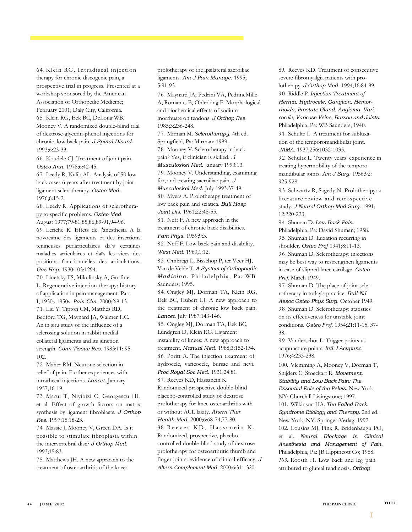64. Klein RG. Intradiscal injection therapy for chronic discogenic pain, a prospective trial in progress. Presented at a workshop sponsored by the American Association of Orthopedic Medicine; February 2001; Daly City, California. 65. Klein RG, Eek BC, DeLong WB. Mooney V. A randomized double-blind trial of dextrose-glycerin-phenol injections for chronic, low back pain. J Spinal Disord. 1993;6:23-33.

66. Koudele CJ. Treatment of joint pain. Osteo Ann. 1978;6:42-45.

67. Leedy R, Kulik AL. Analysis of 50 low back cases 6 years after treatment by joint ligament sclerotherapy. Osteo Med. 1976;6:15-2.

68. Leedy R. Applications of sclerotherapy to specific problems. Osteo Med. August 1977;79-81,85,86,89-91,94-96.

69. Leriche R. Effets de ]'anesthesia A la novocame des ligaments et des insertions tenineuses periarticulaires daps certaines maladies articulaires et daps les vices des positions fonctionnelles des articulations. Gaz Hop. 1930;103:1294.

70. Linetsky FS, Mikulinsky A, Gorfine L. Regenerative injection therapy: history of application in pain management: Part I, 1930s-1950s. Pain Clin. 2000;2:8-13. 71. Liu Y, Tipton CM, Matthes RD, Bedford TG, Maynard JA, Walmer HC. An in situ study of the influence of a sclerosing solution in rabbit medial collateral ligaments and its junction strength. Conn Tissue Res. 1983;11: 95- 102.

72. Maher RM. Neurone selection in relief of pain. Further experiences with intrathecal injections. Lancet. January 1957;16-19.

73. Marui T, Niyibizi C, Georgescu HI, et al. Effect of growth factors on matrix synthesis by ligament fibroblasts. J Orthop Res. 1997;15:18-23.

74. Massie J, Mooney V, Green DA. Is it possible to stimulate fibroplasia within the intervertebral disc? J Orthop Med. 1993;15:83.

75. Matthews JH. A new approach to the treatment of osteoarthritis of the knee:

prolotherapy of the ipsilateral sacroiliac ligaments. Am J Pain Manage. 1995; 5:91-93.

**A Multidisciplinary Approach to Acute & Chronic Pain Management**

76. Maynard JA, Pedrini VA, PedrineMille A, Romanus B, Ohlerking F. Morphological and biochemical effects of sodium morrhuate on tendons. J Orthop Res. 1985;3:236-248.

77. Mirman M. Sclerotherapy. 4th ed. Springfield, Pa: Mirman; 1989. 78. Mooney V. Sclerotherapy in back pain? Yes, if clinician is skilled. .1 Musculoskel Med. January 1993:13. 79. Mooney V. Understanding, examining for, and treating sacroiliac pain. J Musculoskel Med. July 1993:37-49. 80. Myers A. Prolotherapy treatment of low back pain and sciatica. Bull Hosp

Joint Dis. 1961;22:48-55. 81. Neff F. A new approach in the

treatment of chronic back disabilities. Fam Phys. 1959;9:3.

82. Neff F. Low back pain and disability. West Med. 1960;1:12.

83. Ombregt L, Bisschop P, ter Veer HJ, Van de Velde T. A System of Orthopaedic Medicine. Philadelphia, Pa: WB Saunders; 1995.

84. Ongley MJ, Dorman TA, Klein RG, Eek BC, Hubert LJ. A new approach to the treatment of chronic low back pain. Lancet. July 1987:143-146.

85. Ongley MJ, Dorman TA, Eek BC, Lundgren D, Klein RG. Ligament instability of knees: A new approach to treatment. Manual Med. 1988;3:152-154. 86. Poritt A. The injection treatment of

hydrocele, varicocele, bursae and nevi. Proc Royal Soc Med. 1931;24:81. 87. Reeves KD, Hassanein K.

Randomized prospective double-blind placebo-controlled study of dextrose prolotherapy for knee osteoarthritis with or without ACL laxity. Ahern Ther Health Med. 2000;6:68-74,77-80. 88. Reeves KD, Hassanein K. Randomized, prospective, placebocontrolled double-blind study of dextrose prolotherapy for osteoarthritic thumb and finger joints: evidence of clinical efficacy. J Altern Complement Med. 2000;6:311-320.

89. Reeves KD. Treatment of consecutive severe fibromyalgia patients with prolotherapy. J Orthop Med. 1994;16:84-89. 90. Riddle P. Injection Treatment of Hernia, Hydrocele, Ganglion, Hemorrhoids, Prostate Gland, Angioma, Varicocele, Varicose Veins, Bursae and Joints. Philadelphia, Pa: WB Saunders; 1940. 91. Schultz L. A treatment for subluxation of the temporomandibular joint. JAMA. 1937;256:1032-1035.

92. Schultz L. Twenty years' experience in treating hypermobility of the temporomandibular joints. Am J Surg. 1956;92: 925-928.

93. Schwartz R, Sagedy N. Prolotherapy: a literature review and retrospective study. J Neurol Orthop Med Surg. 1991; 12:220-223.

94. Shuman D. Low Back Pain. Philadelphia, Pa: David Shuman; 1958. 95. Shuman D. Luxation recurring in shoulder. Osteo Prof 1941;8:11-13. 96. Shuman D. Sclerotherapy: injections may be best way to restrengthen ligaments in case of slipped knee cartilage. Osteo *Prof.* March 1949.

97. Shuman D. The place of joint sclerotherapy in today's practice. Bull NJ Assoc Osteo Phys Surg. October 1949. 98. Shuman D. Sclerotherapy: statistics on its effectiveness for unstable joint conditions. Osteo *Prof.* 1954;21:11-15, 37- 38.

99. Vanderschot L. Trigger points vs acupuncture points. Intl J Acupunc. 1976;4:233-238.

100. Vlemming A, Mooney V, Dorman T, Snijders C, Stoeckart R. Movement, Stability and Low Back Pain: The Essential Role of the Pelvis. New York, NY: Churchill Livingstone; 1997. 101. Wilkinson HA. The Failed Back Syndrome Etiology and Therapy. 2nd ed. New York, NY: Springer-Verlag; 1992. 102. Cousins MJ, Fink R, Bridenbaugh PO, et al. Neural Blockage in Clinical Anesthesia and Management of Pain. Philadelphia, Pa: JB Lippincott Co; 1988. 103. Roosth H. Low back and leg pain attributed to gluteal tendinosis. Orthop

I